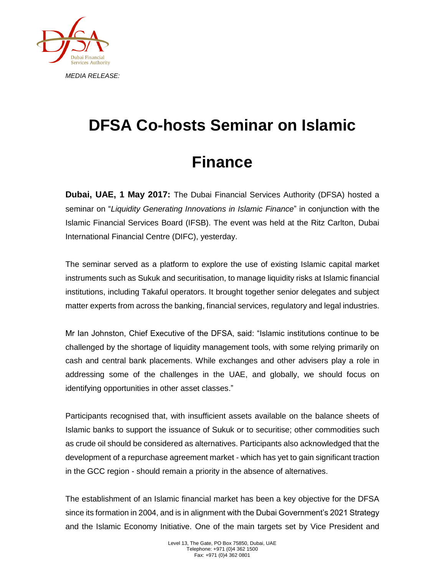

## **DFSA Co-hosts Seminar on Islamic**

## **Finance**

**Dubai, UAE, 1 May 2017:** The Dubai Financial Services Authority (DFSA) hosted a seminar on "*Liquidity Generating Innovations in Islamic Finance*" in conjunction with the Islamic Financial Services Board (IFSB). The event was held at the Ritz Carlton, Dubai International Financial Centre (DIFC), yesterday.

The seminar served as a platform to explore the use of existing Islamic capital market instruments such as Sukuk and securitisation, to manage liquidity risks at Islamic financial institutions, including Takaful operators. It brought together senior delegates and subject matter experts from across the banking, financial services, regulatory and legal industries.

Mr Ian Johnston, Chief Executive of the DFSA, said: "Islamic institutions continue to be challenged by the shortage of liquidity management tools, with some relying primarily on cash and central bank placements. While exchanges and other advisers play a role in addressing some of the challenges in the UAE, and globally, we should focus on identifying opportunities in other asset classes."

Participants recognised that, with insufficient assets available on the balance sheets of Islamic banks to support the issuance of Sukuk or to securitise; other commodities such as crude oil should be considered as alternatives. Participants also acknowledged that the development of a repurchase agreement market - which has yet to gain significant traction in the GCC region - should remain a priority in the absence of alternatives.

The establishment of an Islamic financial market has been a key objective for the DFSA since its formation in 2004, and is in alignment with the Dubai Government's 2021 Strategy and the Islamic Economy Initiative. One of the main targets set by Vice President and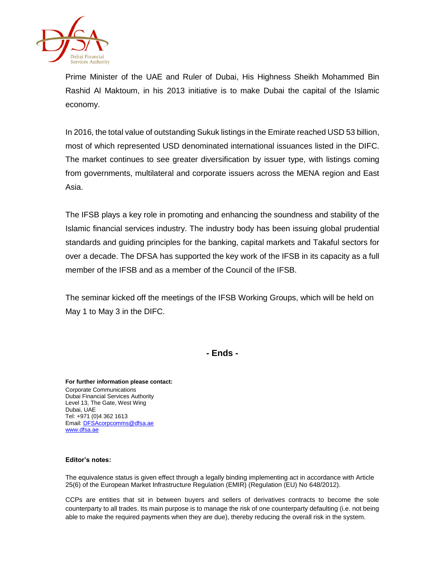

Prime Minister of the UAE and Ruler of Dubai, His Highness Sheikh Mohammed Bin Rashid Al Maktoum, in his 2013 initiative is to make Dubai the capital of the Islamic economy.

In 2016, the total value of outstanding Sukuk listings in the Emirate reached USD 53 billion, most of which represented USD denominated international issuances listed in the DIFC. The market continues to see greater diversification by issuer type, with listings coming from governments, multilateral and corporate issuers across the MENA region and East Asia.

The IFSB plays a key role in promoting and enhancing the soundness and stability of the Islamic financial services industry. The industry body has been issuing global prudential standards and guiding principles for the banking, capital markets and Takaful sectors for over a decade. The DFSA has supported the key work of the IFSB in its capacity as a full member of the IFSB and as a member of the Council of the IFSB.

The seminar kicked off the meetings of the IFSB Working Groups, which will be held on May 1 to May 3 in the DIFC.

**- Ends -**

**For further information please contact:** Corporate Communications Dubai Financial Services Authority Level 13, The Gate, West Wing Dubai, UAE Tel: +971 (0)4 362 1613 Email[: DFSAcorpcomms@dfsa.ae](mailto:DFSAcorpcomms@dfsa.ae) [www.dfsa.ae](http://www.dfsa.ae/)

## **Editor's notes:**

The equivalence status is given effect through a legally binding implementing act in accordance with Article 25(6) of the European Market Infrastructure Regulation (EMIR) (Regulation (EU) No 648/2012).

CCPs are entities that sit in between buyers and sellers of derivatives contracts to become the sole counterparty to all trades. Its main purpose is to manage the risk of one counterparty defaulting (i.e. not being able to make the required payments when they are due), thereby reducing the overall risk in the system.